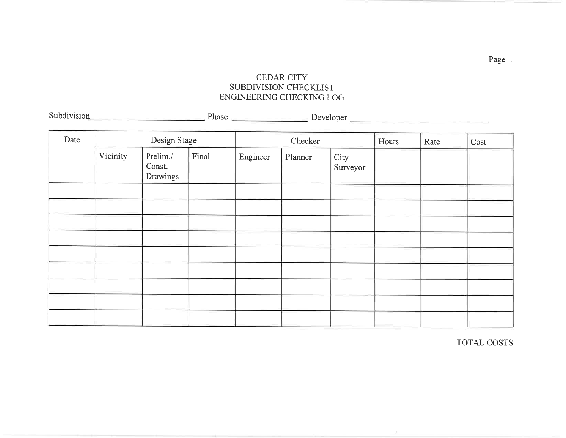## CEDAR CITY SUBDIVISION CHECKLISTENGINEERING CHECKING LOG

| Date | Design Stage |                                |       | Checker  |         |                  | Hours | Rate | Cost |
|------|--------------|--------------------------------|-------|----------|---------|------------------|-------|------|------|
|      | Vicinity     | Prelim./<br>Const.<br>Drawings | Final | Engineer | Planner | City<br>Surveyor |       |      |      |
|      |              |                                |       |          |         |                  |       |      |      |
|      |              |                                |       |          |         |                  |       |      |      |
|      |              |                                |       |          |         |                  |       |      |      |
|      |              |                                |       |          |         |                  |       |      |      |
|      |              |                                |       |          |         |                  |       |      |      |
|      |              |                                |       |          |         |                  |       |      |      |
|      |              |                                |       |          |         |                  |       |      |      |
|      |              |                                |       |          |         |                  |       |      |      |
|      |              |                                |       |          |         |                  |       |      |      |

Subdivision Phase Developer

TOTAL COSTS

Page I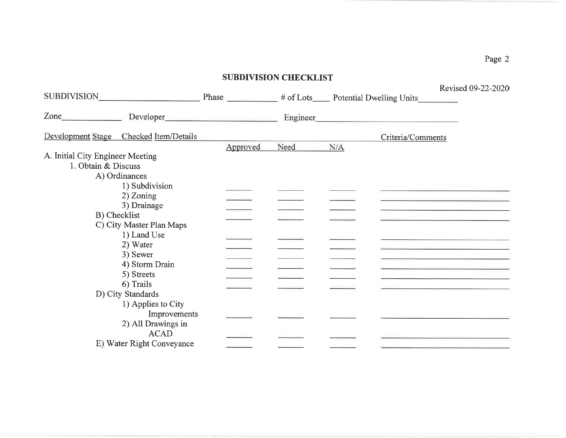|                                                         |                                                                                                                                                                                                                                |          | <b>SUBDIVISION CHECKLIST</b> |     |                                                                                                                       |                                                                                                                                                                                                                    |
|---------------------------------------------------------|--------------------------------------------------------------------------------------------------------------------------------------------------------------------------------------------------------------------------------|----------|------------------------------|-----|-----------------------------------------------------------------------------------------------------------------------|--------------------------------------------------------------------------------------------------------------------------------------------------------------------------------------------------------------------|
|                                                         | SUBDIVISION SUBDIVISION SUBDIVISION SUBDIVISION SUBDIVISION SUBDIVISION SUBDIVISION SUBDIVISION SUBDIVISION SUBDIVISION SUBDIVISION SUBDIVISION SUBDIVISION SUBDIVISION SUBDIVISION SUBDIVISION SUBDIVISION SUBDIVISION SUBDIV |          |                              |     |                                                                                                                       | Revised 09-22-2020                                                                                                                                                                                                 |
| $\mathsf{Zone}$                                         |                                                                                                                                                                                                                                |          | Engineer_                    |     | <u> 1989 - Johann Barbara, martin amerikan basar dan berasal dalam basar dalam basar dalam basar dalam basar dala</u> |                                                                                                                                                                                                                    |
|                                                         | Development Stage Checked Item/Details                                                                                                                                                                                         |          |                              |     | Criteria/Comments                                                                                                     |                                                                                                                                                                                                                    |
| A. Initial City Engineer Meeting<br>1. Obtain & Discuss |                                                                                                                                                                                                                                | Approved | Need                         | N/A |                                                                                                                       |                                                                                                                                                                                                                    |
|                                                         | A) Ordinances                                                                                                                                                                                                                  |          |                              |     |                                                                                                                       |                                                                                                                                                                                                                    |
|                                                         | 1) Subdivision<br>2) Zoning<br>3) Drainage                                                                                                                                                                                     |          |                              |     |                                                                                                                       |                                                                                                                                                                                                                    |
|                                                         | B) Checklist<br>C) City Master Plan Maps                                                                                                                                                                                       |          |                              |     |                                                                                                                       |                                                                                                                                                                                                                    |
|                                                         | 1) Land Use<br>2) Water                                                                                                                                                                                                        |          |                              |     |                                                                                                                       | the contract of the contract of the contract of the contract of the contract of                                                                                                                                    |
|                                                         | 3) Sewer<br>4) Storm Drain                                                                                                                                                                                                     |          |                              |     |                                                                                                                       | <u> La Carlo de la Carlo de la Carlo de la Carlo de la Carlo de la Carlo de la Carlo de la Carlo de la Carlo de l</u><br>the control of the control of the control of the control of the control of the control of |
|                                                         | 5) Streets<br>6) Trails                                                                                                                                                                                                        |          |                              |     |                                                                                                                       |                                                                                                                                                                                                                    |
|                                                         | D) City Standards<br>1) Applies to City<br>Improvements<br>2) All Drawings in                                                                                                                                                  |          |                              |     |                                                                                                                       |                                                                                                                                                                                                                    |
|                                                         | <b>ACAD</b><br>E) Water Right Conveyance                                                                                                                                                                                       |          |                              |     |                                                                                                                       |                                                                                                                                                                                                                    |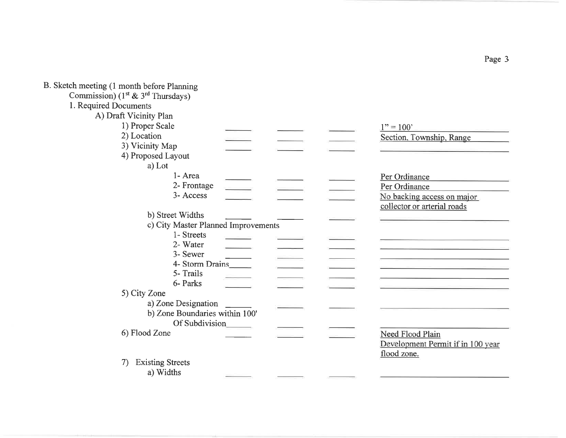| B. Sketch meeting (1 month before Planning |                                   |
|--------------------------------------------|-----------------------------------|
| Commission) ( $1st$ & $3rd$ Thursdays)     |                                   |
| 1. Required Documents                      |                                   |
| A) Draft Vicinity Plan                     |                                   |
| 1) Proper Scale                            | $1" = 100"$                       |
| 2) Location                                | Section, Township, Range          |
| 3) Vicinity Map                            |                                   |
| 4) Proposed Layout                         |                                   |
| a) Lot                                     |                                   |
| 1- Area                                    | Per Ordinance                     |
| 2- Frontage                                | Per Ordinance                     |
| 3- Access                                  |                                   |
|                                            | No backing access on major        |
|                                            | collector or arterial roads       |
| b) Street Widths                           |                                   |
| c) City Master Planned Improvements        |                                   |
| 1- Streets                                 |                                   |
| 2- Water                                   |                                   |
| 3- Sewer                                   |                                   |
| 4- Storm Drains                            |                                   |
| 5- Trails                                  |                                   |
| 6- Parks                                   |                                   |
| 5) City Zone                               |                                   |
| a) Zone Designation                        |                                   |
| b) Zone Boundaries within 100'             |                                   |
| Of Subdivision                             |                                   |
| 6) Flood Zone                              | Need Flood Plain                  |
|                                            | Development Permit if in 100 year |
|                                            | flood zone.                       |
| <b>Existing Streets</b><br>7)              |                                   |
| a) Widths                                  |                                   |
|                                            |                                   |

Page 3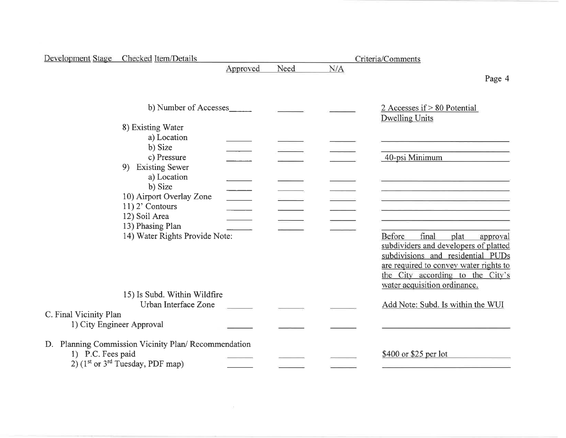|                        | Development Stage Checked Item/Details              |          |      |     | Criteria/Comments                                     |
|------------------------|-----------------------------------------------------|----------|------|-----|-------------------------------------------------------|
|                        |                                                     | Approved | Need | N/A |                                                       |
|                        |                                                     |          |      |     | Page 4                                                |
|                        |                                                     |          |      |     |                                                       |
|                        | b) Number of Accesses                               |          |      |     | 2 Accesses if > 80 Potential<br><b>Dwelling Units</b> |
|                        | 8) Existing Water                                   |          |      |     |                                                       |
|                        | a) Location                                         |          |      |     |                                                       |
|                        | b) Size                                             |          |      |     |                                                       |
|                        | c) Pressure                                         |          |      |     | 40-psi Minimum                                        |
|                        | 9) Existing Sewer                                   |          |      |     |                                                       |
|                        | a) Location                                         |          |      |     |                                                       |
|                        | b) Size<br>10) Airport Overlay Zone                 |          |      |     |                                                       |
|                        | $11)$ 2' Contours                                   |          |      |     |                                                       |
|                        | 12) Soil Area                                       |          |      |     |                                                       |
|                        | 13) Phasing Plan                                    |          |      |     |                                                       |
|                        | 14) Water Rights Provide Note:                      |          |      |     | Before<br>final<br>plat<br>approval                   |
|                        |                                                     |          |      |     | subdividers and developers of platted                 |
|                        |                                                     |          |      |     | subdivisions and residential PUDs                     |
|                        |                                                     |          |      |     | are required to convey water rights to                |
|                        |                                                     |          |      |     | the City according to the City's                      |
|                        |                                                     |          |      |     | water acquisition ordinance.                          |
|                        | 15) Is Subd. Within Wildfire                        |          |      |     |                                                       |
|                        | Urban Interface Zone                                |          |      |     | Add Note: Subd. Is within the WUI                     |
| C. Final Vicinity Plan |                                                     |          |      |     |                                                       |
|                        | 1) City Engineer Approval                           |          |      |     |                                                       |
|                        | D. Planning Commission Vicinity Plan/Recommendation |          |      |     |                                                       |
| 1) P.C. Fees paid      | 2) $(1^{st}$ or $3^{rd}$ Tuesday, PDF map)          |          |      |     | \$400 or \$25 per lot                                 |
|                        |                                                     |          |      |     |                                                       |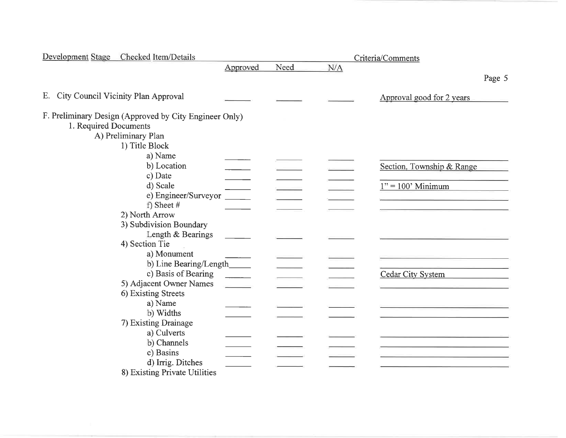| Development Stage Checked Item/Details                                                                 |          |      |     | Criteria/Comments         |
|--------------------------------------------------------------------------------------------------------|----------|------|-----|---------------------------|
|                                                                                                        | Approved | Need | N/A |                           |
|                                                                                                        |          |      |     | Page 5                    |
| E. City Council Vicinity Plan Approval                                                                 |          |      |     | Approval good for 2 years |
| F. Preliminary Design (Approved by City Engineer Only)<br>1. Required Documents<br>A) Preliminary Plan |          |      |     |                           |
| 1) Title Block                                                                                         |          |      |     |                           |
| a) Name<br>b) Location<br>c) Date                                                                      |          |      |     | Section, Township & Range |
| d) Scale<br>e) Engineer/Surveyor                                                                       |          |      |     | $1" = 100'$ Minimum       |
| f) Sheet $#$<br>2) North Arrow                                                                         |          |      |     |                           |
| 3) Subdivision Boundary<br>Length & Bearings                                                           |          |      |     |                           |
| 4) Section Tie<br>a) Monument                                                                          |          |      |     |                           |
| b) Line Bearing/Length_                                                                                |          |      |     |                           |
| c) Basis of Bearing                                                                                    |          |      |     | Cedar City System         |
| 5) Adjacent Owner Names<br>6) Existing Streets                                                         |          |      |     |                           |
| a) Name<br>b) Widths                                                                                   |          |      |     |                           |
| 7) Existing Drainage                                                                                   |          |      |     |                           |
| a) Culverts                                                                                            |          |      |     |                           |
| b) Channels                                                                                            |          |      |     |                           |
| c) Basins                                                                                              |          |      |     |                           |
| d) Irrig. Ditches<br>8) Existing Private Utilities                                                     |          |      |     |                           |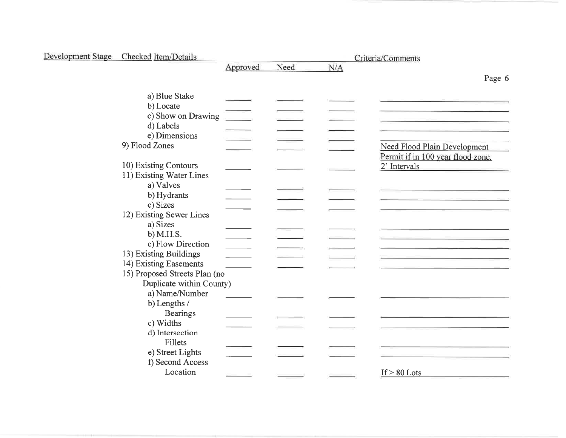| Development Stage Checked Item/Details |          |      | Criteria/Comments |                                   |  |
|----------------------------------------|----------|------|-------------------|-----------------------------------|--|
|                                        | Approved | Need | N/A               |                                   |  |
|                                        |          |      |                   | Page 6                            |  |
| a) Blue Stake                          |          |      |                   |                                   |  |
| b) Locate                              |          |      |                   |                                   |  |
| c) Show on Drawing                     |          |      |                   |                                   |  |
| d) Labels                              |          |      |                   |                                   |  |
| e) Dimensions                          |          |      |                   |                                   |  |
| 9) Flood Zones                         |          |      |                   | Need Flood Plain Development      |  |
|                                        |          |      |                   | Permit if in 100 year flood zone. |  |
| 10) Existing Contours                  |          |      |                   | 2' Intervals                      |  |
| 11) Existing Water Lines               |          |      |                   |                                   |  |
| a) Valves                              |          |      |                   |                                   |  |
| b) Hydrants                            |          |      |                   |                                   |  |
| c) Sizes                               |          |      |                   |                                   |  |
| 12) Existing Sewer Lines               |          |      |                   |                                   |  |
| a) Sizes                               |          |      |                   |                                   |  |
| b) M.H.S.                              |          |      |                   |                                   |  |
| c) Flow Direction                      |          |      |                   |                                   |  |
| 13) Existing Buildings                 |          |      |                   |                                   |  |
| 14) Existing Easements                 |          |      |                   |                                   |  |
| 15) Proposed Streets Plan (no          |          |      |                   |                                   |  |
| Duplicate within County)               |          |      |                   |                                   |  |
| a) Name/Number                         |          |      |                   |                                   |  |
| b) Lengths /                           |          |      |                   |                                   |  |
| <b>Bearings</b>                        |          |      |                   |                                   |  |
| c) Widths                              |          |      |                   |                                   |  |
| d) Intersection                        |          |      |                   |                                   |  |
| <b>Fillets</b>                         |          |      |                   |                                   |  |
| e) Street Lights                       |          |      |                   |                                   |  |
| f) Second Access                       |          |      |                   |                                   |  |
| Location                               |          |      |                   | If $> 80$ Lots                    |  |
|                                        |          |      |                   |                                   |  |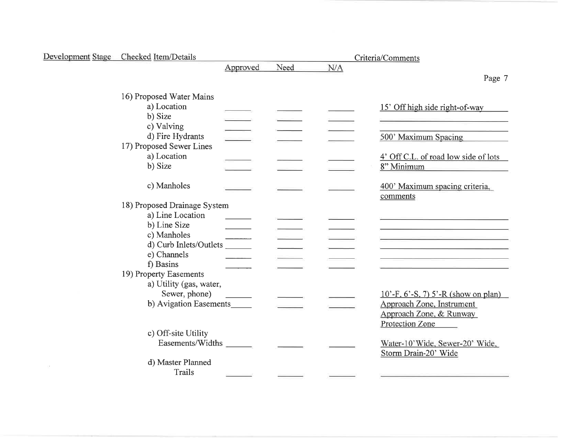| Development Stage Checked Item/Details                     |          |      |     | Criteria/Comments                                                                                                                                                                                                             |  |  |
|------------------------------------------------------------|----------|------|-----|-------------------------------------------------------------------------------------------------------------------------------------------------------------------------------------------------------------------------------|--|--|
|                                                            | Approved | Need | N/A |                                                                                                                                                                                                                               |  |  |
|                                                            |          |      |     | Page 7                                                                                                                                                                                                                        |  |  |
| 16) Proposed Water Mains<br>a) Location<br>b) Size         |          |      |     | 15' Off high side right-of-way                                                                                                                                                                                                |  |  |
| c) Valving<br>d) Fire Hydrants<br>17) Proposed Sewer Lines |          |      |     | 500' Maximum Spacing                                                                                                                                                                                                          |  |  |
| a) Location<br>b) Size                                     |          |      |     | 4' Off C.L. of road low side of lots<br>8" Minimum                                                                                                                                                                            |  |  |
| c) Manholes                                                |          |      |     | 400' Maximum spacing criteria.<br>comments                                                                                                                                                                                    |  |  |
| 18) Proposed Drainage System                               |          |      |     |                                                                                                                                                                                                                               |  |  |
| a) Line Location                                           |          |      |     |                                                                                                                                                                                                                               |  |  |
| b) Line Size                                               |          |      |     |                                                                                                                                                                                                                               |  |  |
| c) Manholes                                                |          |      |     | the control of the control of the control of the control of the control of the control of the control of the control of the control of the control of the control of the control of the control of the control of the control |  |  |
| d) Curb Inlets/Outlets                                     |          |      |     |                                                                                                                                                                                                                               |  |  |
| e) Channels                                                |          |      |     |                                                                                                                                                                                                                               |  |  |
| f) Basins                                                  |          |      |     |                                                                                                                                                                                                                               |  |  |
| 19) Property Easements<br>a) Utility (gas, water,          |          |      |     |                                                                                                                                                                                                                               |  |  |
| Sewer, phone)                                              |          |      |     | $10^{\circ}$ -F, 6'-S, 7) 5'-R (show on plan)                                                                                                                                                                                 |  |  |
| b) Avigation Easements                                     |          |      |     | Approach Zone, Instrument<br>Approach Zone, & Runway<br>Protection Zone                                                                                                                                                       |  |  |
| c) Off-site Utility                                        |          |      |     |                                                                                                                                                                                                                               |  |  |
| Easements/Widths                                           |          |      |     | Water-10'Wide, Sewer-20' Wide,<br>Storm Drain-20' Wide                                                                                                                                                                        |  |  |
| d) Master Planned<br><b>Trails</b>                         |          |      |     |                                                                                                                                                                                                                               |  |  |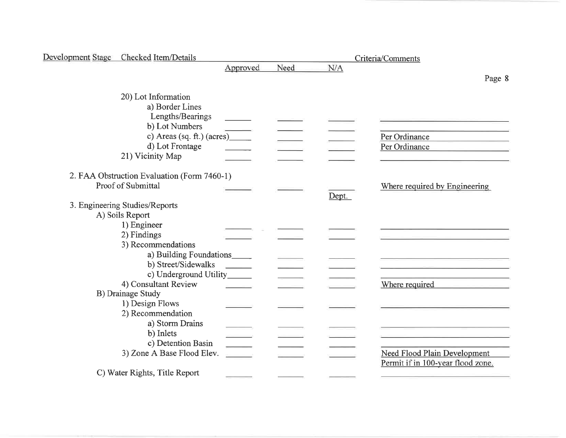| Development Stage Checked Item/Details      |          |      |       | Criteria/Comments                                                |
|---------------------------------------------|----------|------|-------|------------------------------------------------------------------|
|                                             | Approved | Need | N/A   |                                                                  |
|                                             |          |      |       | Page 8                                                           |
| 20) Lot Information                         |          |      |       |                                                                  |
| a) Border Lines                             |          |      |       |                                                                  |
| Lengths/Bearings                            |          |      |       |                                                                  |
| b) Lot Numbers                              |          |      |       |                                                                  |
|                                             |          |      |       | Per Ordinance                                                    |
| d) Lot Frontage                             |          |      |       | Per Ordinance<br>the contract of the contract of the contract of |
| 21) Vicinity Map                            |          |      |       |                                                                  |
| 2. FAA Obstruction Evaluation (Form 7460-1) |          |      |       |                                                                  |
| Proof of Submittal                          |          |      |       | Where required by Engineering                                    |
|                                             |          |      | Dept. |                                                                  |
| 3. Engineering Studies/Reports              |          |      |       |                                                                  |
| A) Soils Report                             |          |      |       |                                                                  |
| 1) Engineer                                 |          |      |       |                                                                  |
| 2) Findings                                 |          |      |       |                                                                  |
| 3) Recommendations                          |          |      |       |                                                                  |
| a) Building Foundations_____                |          |      |       |                                                                  |
| b) Street/Sidewalks                         |          |      |       |                                                                  |
| c) Underground Utility______                |          |      |       |                                                                  |
| 4) Consultant Review                        |          |      |       | Where required                                                   |
| B) Drainage Study                           |          |      |       |                                                                  |
| 1) Design Flows                             |          |      |       |                                                                  |
| 2) Recommendation                           |          |      |       |                                                                  |
| a) Storm Drains                             |          |      |       |                                                                  |
| b) Inlets                                   |          |      |       |                                                                  |
| c) Detention Basin                          |          |      |       |                                                                  |
| 3) Zone A Base Flood Elev.                  |          |      |       | Need Flood Plain Development                                     |
|                                             |          |      |       | Permit if in 100-year flood zone.                                |
| C) Water Rights, Title Report               |          |      |       |                                                                  |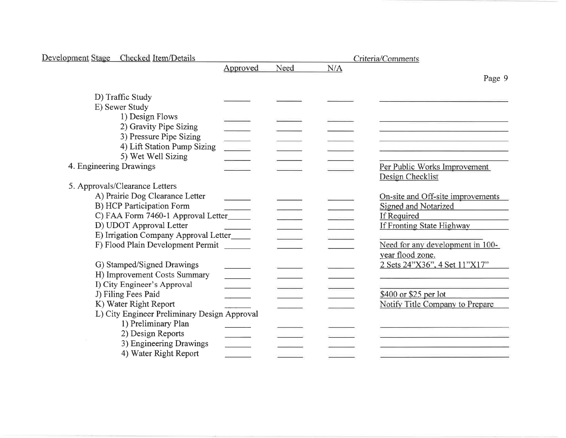| Development Stage Checked Item/Details       |                                                                                                                                                                                                                                                                                                                                                                                                                                                                                                 |      |     | Criteria/Comments                 |
|----------------------------------------------|-------------------------------------------------------------------------------------------------------------------------------------------------------------------------------------------------------------------------------------------------------------------------------------------------------------------------------------------------------------------------------------------------------------------------------------------------------------------------------------------------|------|-----|-----------------------------------|
|                                              | Approved                                                                                                                                                                                                                                                                                                                                                                                                                                                                                        | Need | N/A |                                   |
|                                              |                                                                                                                                                                                                                                                                                                                                                                                                                                                                                                 |      |     | Page 9                            |
| D) Traffic Study                             |                                                                                                                                                                                                                                                                                                                                                                                                                                                                                                 |      |     |                                   |
| E) Sewer Study                               |                                                                                                                                                                                                                                                                                                                                                                                                                                                                                                 |      |     |                                   |
| 1) Design Flows                              |                                                                                                                                                                                                                                                                                                                                                                                                                                                                                                 |      |     |                                   |
| 2) Gravity Pipe Sizing                       |                                                                                                                                                                                                                                                                                                                                                                                                                                                                                                 |      |     |                                   |
| 3) Pressure Pipe Sizing                      |                                                                                                                                                                                                                                                                                                                                                                                                                                                                                                 |      |     |                                   |
| 4) Lift Station Pump Sizing                  | $\begin{tabular}{c} \multicolumn{2}{c} {\textbf{1}} & \multicolumn{2}{c} {\textbf{1}} & \multicolumn{2}{c} {\textbf{1}} \\ \multicolumn{2}{c} {\textbf{1}} & \multicolumn{2}{c} {\textbf{1}} & \multicolumn{2}{c} {\textbf{1}} \\ \multicolumn{2}{c} {\textbf{1}} & \multicolumn{2}{c} {\textbf{1}} & \multicolumn{2}{c} {\textbf{1}} \\ \multicolumn{2}{c} {\textbf{1}} & \multicolumn{2}{c} {\textbf{1}} & \multicolumn{2}{c} {\textbf{1}} \\ \multicolumn{2}{c} {\textbf{1}} & \multicolumn$ |      |     |                                   |
| 5) Wet Well Sizing                           |                                                                                                                                                                                                                                                                                                                                                                                                                                                                                                 |      |     |                                   |
| 4. Engineering Drawings                      |                                                                                                                                                                                                                                                                                                                                                                                                                                                                                                 |      |     | Per Public Works Improvement      |
|                                              |                                                                                                                                                                                                                                                                                                                                                                                                                                                                                                 |      |     | Design Checklist                  |
| 5. Approvals/Clearance Letters               |                                                                                                                                                                                                                                                                                                                                                                                                                                                                                                 |      |     |                                   |
| A) Prairie Dog Clearance Letter              |                                                                                                                                                                                                                                                                                                                                                                                                                                                                                                 |      |     | On-site and Off-site improvements |
| B) HCP Participation Form                    |                                                                                                                                                                                                                                                                                                                                                                                                                                                                                                 |      |     | Signed and Notarized              |
| C) FAA Form 7460-1 Approval Letter           |                                                                                                                                                                                                                                                                                                                                                                                                                                                                                                 |      |     | If Required                       |
| D) UDOT Approval Letter                      |                                                                                                                                                                                                                                                                                                                                                                                                                                                                                                 |      |     | If Fronting State Highway         |
| E) Irrigation Company Approval Letter_____   |                                                                                                                                                                                                                                                                                                                                                                                                                                                                                                 |      |     |                                   |
| F) Flood Plain Development Permit            |                                                                                                                                                                                                                                                                                                                                                                                                                                                                                                 |      |     | Need for any development in 100-  |
|                                              |                                                                                                                                                                                                                                                                                                                                                                                                                                                                                                 |      |     | year flood zone.                  |
| G) Stamped/Signed Drawings                   |                                                                                                                                                                                                                                                                                                                                                                                                                                                                                                 |      |     | 2 Sets 24"X36", 4 Set 11"X17"     |
| H) Improvement Costs Summary                 |                                                                                                                                                                                                                                                                                                                                                                                                                                                                                                 |      |     |                                   |
| I) City Engineer's Approval                  |                                                                                                                                                                                                                                                                                                                                                                                                                                                                                                 |      |     |                                   |
| J) Filing Fees Paid                          |                                                                                                                                                                                                                                                                                                                                                                                                                                                                                                 |      |     | \$400 or \$25 per lot             |
| K) Water Right Report                        |                                                                                                                                                                                                                                                                                                                                                                                                                                                                                                 |      |     | Notify Title Company to Prepare   |
| L) City Engineer Preliminary Design Approval |                                                                                                                                                                                                                                                                                                                                                                                                                                                                                                 |      |     |                                   |
| 1) Preliminary Plan                          |                                                                                                                                                                                                                                                                                                                                                                                                                                                                                                 |      |     |                                   |
| 2) Design Reports                            |                                                                                                                                                                                                                                                                                                                                                                                                                                                                                                 |      |     |                                   |
| 3) Engineering Drawings                      |                                                                                                                                                                                                                                                                                                                                                                                                                                                                                                 |      |     |                                   |
| 4) Water Right Report                        |                                                                                                                                                                                                                                                                                                                                                                                                                                                                                                 |      |     |                                   |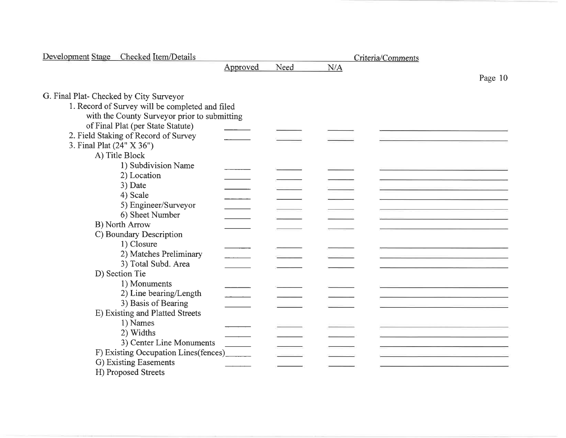| Development Stage Checked Item/Details          | Criteria/Comments |      |     |         |
|-------------------------------------------------|-------------------|------|-----|---------|
|                                                 | Approved          | Need | N/A |         |
|                                                 |                   |      |     | Page 10 |
|                                                 |                   |      |     |         |
| G. Final Plat- Checked by City Surveyor         |                   |      |     |         |
| 1. Record of Survey will be completed and filed |                   |      |     |         |
| with the County Surveyor prior to submitting    |                   |      |     |         |
| of Final Plat (per State Statute)               |                   |      |     |         |
| 2. Field Staking of Record of Survey            |                   |      |     |         |
| 3. Final Plat (24" X 36")                       |                   |      |     |         |
| A) Title Block                                  |                   |      |     |         |
| 1) Subdivision Name                             |                   |      |     |         |
| 2) Location                                     |                   |      |     |         |
| 3) Date                                         |                   |      |     |         |
| 4) Scale                                        |                   |      |     |         |
| 5) Engineer/Surveyor                            |                   |      |     |         |
| 6) Sheet Number                                 |                   |      |     |         |
| <b>B)</b> North Arrow                           |                   |      |     |         |
| C) Boundary Description                         |                   |      |     |         |
| 1) Closure                                      |                   |      |     |         |
| 2) Matches Preliminary                          |                   |      |     |         |
| 3) Total Subd. Area                             |                   |      |     |         |
| D) Section Tie                                  |                   |      |     |         |
| 1) Monuments                                    |                   |      |     |         |
| 2) Line bearing/Length                          |                   |      |     |         |
| 3) Basis of Bearing                             |                   |      |     |         |
| E) Existing and Platted Streets                 |                   |      |     |         |
| 1) Names                                        |                   |      |     |         |
| 2) Widths                                       |                   |      |     |         |
| 3) Center Line Monuments                        |                   |      |     |         |
| F) Existing Occupation Lines(fences)            |                   |      |     |         |
| G) Existing Easements                           |                   |      |     |         |
| H) Proposed Streets                             |                   |      |     |         |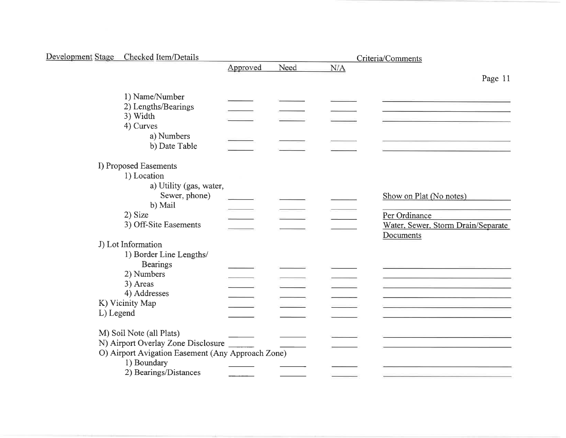| Development Stage Checked Item/Details                                                                                             |          |      | Criteria/Comments |                                                                                             |  |
|------------------------------------------------------------------------------------------------------------------------------------|----------|------|-------------------|---------------------------------------------------------------------------------------------|--|
|                                                                                                                                    | Approved | Need | N/A               |                                                                                             |  |
|                                                                                                                                    |          |      |                   | Page 11                                                                                     |  |
| 1) Name/Number<br>2) Lengths/Bearings<br>3) Width<br>4) Curves                                                                     |          |      |                   |                                                                                             |  |
| a) Numbers<br>b) Date Table                                                                                                        |          |      |                   |                                                                                             |  |
| I) Proposed Easements                                                                                                              |          |      |                   |                                                                                             |  |
| 1) Location<br>a) Utility (gas, water,<br>Sewer, phone)<br>b) Mail<br>2) Size<br>3) Off-Site Easements                             |          |      |                   | Show on Plat (No notes)<br>Per Ordinance<br>Water, Sewer, Storm Drain/Separate<br>Documents |  |
| J) Lot Information                                                                                                                 |          |      |                   |                                                                                             |  |
| 1) Border Line Lengths/<br><b>Bearings</b><br>2) Numbers<br>3) Areas<br>4) Addresses<br>K) Vicinity Map<br>L) Legend               |          |      |                   | the control of the control of the control of the control of                                 |  |
| M) Soil Note (all Plats)<br>N) Airport Overlay Zone Disclosure<br>O) Airport Avigation Easement (Any Approach Zone)<br>1) Boundary |          |      |                   |                                                                                             |  |
| 2) Bearings/Distances                                                                                                              |          |      |                   |                                                                                             |  |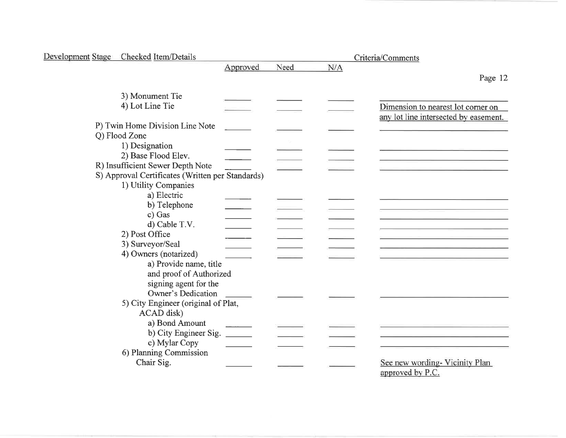| Development Stage Checked Item/Details           |          |      |     | Criteria/Comments                                                           |
|--------------------------------------------------|----------|------|-----|-----------------------------------------------------------------------------|
|                                                  | Approved | Need | N/A |                                                                             |
|                                                  |          |      |     | Page 12                                                                     |
| 3) Monument Tie                                  |          |      |     |                                                                             |
|                                                  |          |      |     |                                                                             |
| 4) Lot Line Tie                                  |          |      |     | Dimension to nearest lot corner on<br>any lot line intersected by easement. |
| P) Twin Home Division Line Note                  |          |      |     |                                                                             |
| Q) Flood Zone                                    |          |      |     |                                                                             |
| 1) Designation                                   |          |      |     |                                                                             |
| 2) Base Flood Elev.                              |          |      |     |                                                                             |
| R) Insufficient Sewer Depth Note                 |          |      |     |                                                                             |
| S) Approval Certificates (Written per Standards) |          |      |     |                                                                             |
| 1) Utility Companies                             |          |      |     |                                                                             |
| a) Electric                                      |          |      |     |                                                                             |
| b) Telephone                                     |          |      |     |                                                                             |
| c) Gas                                           |          |      |     |                                                                             |
| d) Cable T.V.                                    |          |      |     |                                                                             |
| 2) Post Office                                   |          |      |     |                                                                             |
| 3) Surveyor/Seal                                 |          |      |     |                                                                             |
| 4) Owners (notarized)                            |          |      |     |                                                                             |
| a) Provide name, title                           |          |      |     |                                                                             |
| and proof of Authorized                          |          |      |     |                                                                             |
| signing agent for the                            |          |      |     |                                                                             |
| <b>Owner's Dedication</b>                        |          |      |     |                                                                             |
| 5) City Engineer (original of Plat,              |          |      |     |                                                                             |
| ACAD disk)                                       |          |      |     |                                                                             |
| a) Bond Amount                                   |          |      |     |                                                                             |
| b) City Engineer Sig.                            |          |      |     |                                                                             |
| c) Mylar Copy                                    |          |      |     |                                                                             |
| 6) Planning Commission                           |          |      |     |                                                                             |
| Chair Sig.                                       |          |      |     | See new wording-Vicinity Plan                                               |
|                                                  |          |      |     | approved by P.C.                                                            |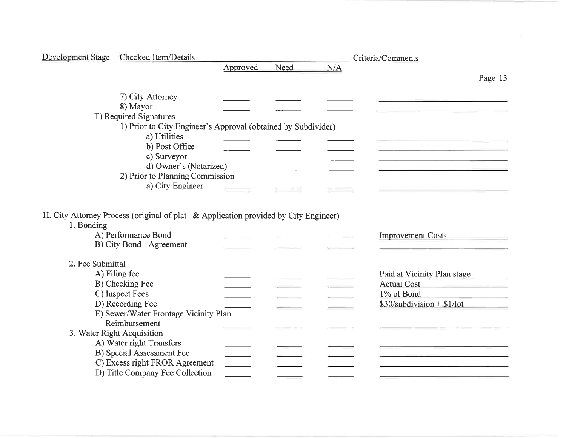|                  | Development Stage Checked Item/Details                        |          |      |     | Criteria/Comments                                     |  |  |
|------------------|---------------------------------------------------------------|----------|------|-----|-------------------------------------------------------|--|--|
|                  |                                                               | Approved | Need | N/A |                                                       |  |  |
|                  |                                                               |          |      |     | Page 13                                               |  |  |
|                  | 7) City Attorney                                              |          |      |     |                                                       |  |  |
|                  | 8) Mayor                                                      |          |      |     |                                                       |  |  |
|                  | T) Required Signatures                                        |          |      |     |                                                       |  |  |
|                  | 1) Prior to City Engineer's Approval (obtained by Subdivider) |          |      |     |                                                       |  |  |
|                  | a) Utilities                                                  |          |      |     |                                                       |  |  |
|                  | b) Post Office                                                |          |      |     |                                                       |  |  |
|                  | c) Surveyor                                                   |          |      |     | <u> 1989 - Johann John Harry College (f. 1989)</u>    |  |  |
|                  | d) Owner's (Notarized) ______                                 |          |      |     |                                                       |  |  |
|                  | 2) Prior to Planning Commission                               |          |      |     |                                                       |  |  |
|                  | a) City Engineer                                              |          |      |     |                                                       |  |  |
|                  |                                                               |          |      |     |                                                       |  |  |
| 1. Bonding       | A) Performance Bond<br>B) City Bond Agreement                 |          |      |     | <b>Improvement Costs</b>                              |  |  |
| 2. Fee Submittal |                                                               |          |      |     |                                                       |  |  |
|                  | A) Filing fee                                                 |          |      |     | Paid at Vicinity Plan stage                           |  |  |
|                  | B) Checking Fee                                               |          |      |     | <b>Actual Cost</b><br><u> 1990 - Jan Alexandria (</u> |  |  |
|                  | C) Inspect Fees                                               |          |      |     | 1% of Bond                                            |  |  |
|                  | D) Recording Fee                                              |          |      |     | $$30/subdivision + $1/lot$                            |  |  |
|                  | E) Sewer/Water Frontage Vicinity Plan                         |          |      |     |                                                       |  |  |
|                  | Reimbursement                                                 |          |      |     |                                                       |  |  |
|                  | 3. Water Right Acquisition                                    |          |      |     |                                                       |  |  |
|                  | A) Water right Transfers                                      |          |      |     |                                                       |  |  |
|                  | B) Special Assessment Fee                                     |          |      |     |                                                       |  |  |
|                  | C) Excess right FROR Agreement                                |          |      |     |                                                       |  |  |
|                  | D) Title Company Fee Collection                               |          |      |     |                                                       |  |  |
|                  |                                                               |          |      |     |                                                       |  |  |